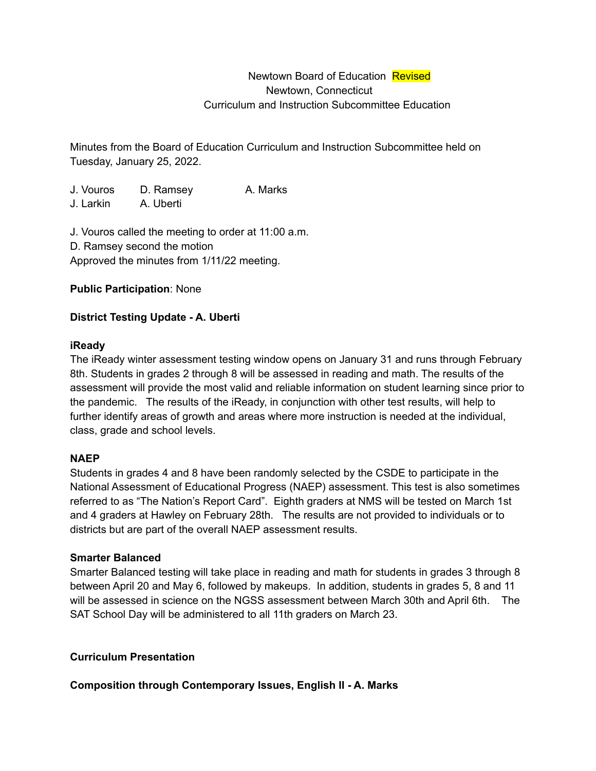# Newtown Board of Education Revised Newtown, Connecticut Curriculum and Instruction Subcommittee Education

Minutes from the Board of Education Curriculum and Instruction Subcommittee held on Tuesday, January 25, 2022.

J. Vouros D. Ramsey A. Marks J. Larkin A. Uberti

J. Vouros called the meeting to order at 11:00 a.m. D. Ramsey second the motion Approved the minutes from 1/11/22 meeting.

## **Public Participation**: None

## **District Testing Update - A. Uberti**

### **iReady**

The iReady winter assessment testing window opens on January 31 and runs through February 8th. Students in grades 2 through 8 will be assessed in reading and math. The results of the assessment will provide the most valid and reliable information on student learning since prior to the pandemic. The results of the iReady, in conjunction with other test results, will help to further identify areas of growth and areas where more instruction is needed at the individual, class, grade and school levels.

### **NAEP**

Students in grades 4 and 8 have been randomly selected by the CSDE to participate in the National Assessment of Educational Progress (NAEP) assessment. This test is also sometimes referred to as "The Nation's Report Card". Eighth graders at NMS will be tested on March 1st and 4 graders at Hawley on February 28th. The results are not provided to individuals or to districts but are part of the overall NAEP assessment results.

### **Smarter Balanced**

Smarter Balanced testing will take place in reading and math for students in grades 3 through 8 between April 20 and May 6, followed by makeups. In addition, students in grades 5, 8 and 11 will be assessed in science on the NGSS assessment between March 30th and April 6th. The SAT School Day will be administered to all 11th graders on March 23.

### **Curriculum Presentation**

### **Composition through Contemporary Issues, English II - A. Marks**